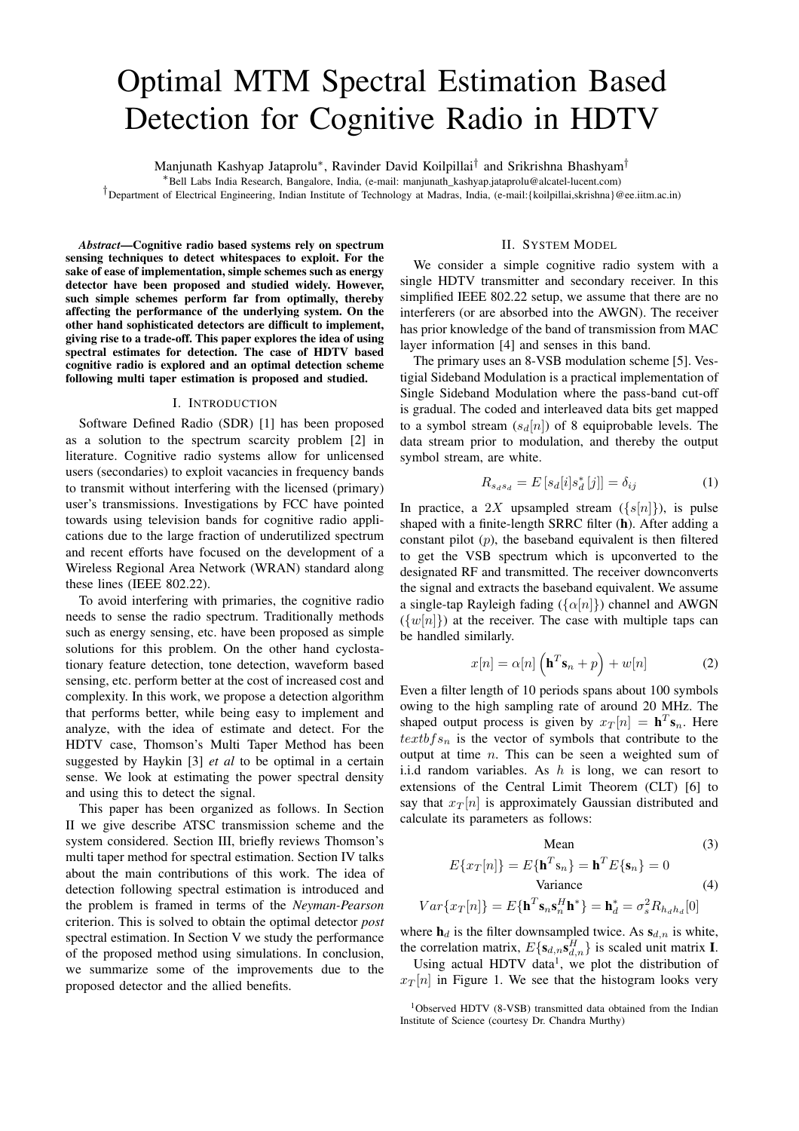# Optimal MTM Spectral Estimation Based Detection for Cognitive Radio in HDTV

Manjunath Kashyap Jataprolu<sup>∗</sup> , Ravinder David Koilpillai† and Srikrishna Bhashyam†

<sup>∗</sup>Bell Labs India Research, Bangalore, India, (e-mail: manjunath\_kashyap.jataprolu@alcatel-lucent.com)

†Department of Electrical Engineering, Indian Institute of Technology at Madras, India, (e-mail:{koilpillai,skrishna}@ee.iitm.ac.in)

*Abstract***—Cognitive radio based systems rely on spectrum sensing techniques to detect whitespaces to exploit. For the sake of ease of implementation, simple schemes such as energy detector have been proposed and studied widely. However, such simple schemes perform far from optimally, thereby affecting the performance of the underlying system. On the other hand sophisticated detectors are difficult to implement, giving rise to a trade-off. This paper explores the idea of using spectral estimates for detection. The case of HDTV based cognitive radio is explored and an optimal detection scheme following multi taper estimation is proposed and studied.**

### I. INTRODUCTION

Software Defined Radio (SDR) [1] has been proposed as a solution to the spectrum scarcity problem [2] in literature. Cognitive radio systems allow for unlicensed users (secondaries) to exploit vacancies in frequency bands to transmit without interfering with the licensed (primary) user's transmissions. Investigations by FCC have pointed towards using television bands for cognitive radio applications due to the large fraction of underutilized spectrum and recent efforts have focused on the development of a Wireless Regional Area Network (WRAN) standard along these lines (IEEE 802.22).

To avoid interfering with primaries, the cognitive radio needs to sense the radio spectrum. Traditionally methods such as energy sensing, etc. have been proposed as simple solutions for this problem. On the other hand cyclostationary feature detection, tone detection, waveform based sensing, etc. perform better at the cost of increased cost and complexity. In this work, we propose a detection algorithm that performs better, while being easy to implement and analyze, with the idea of estimate and detect. For the HDTV case, Thomson's Multi Taper Method has been suggested by Haykin [3] *et al* to be optimal in a certain sense. We look at estimating the power spectral density and using this to detect the signal.

This paper has been organized as follows. In Section II we give describe ATSC transmission scheme and the system considered. Section III, briefly reviews Thomson's multi taper method for spectral estimation. Section IV talks about the main contributions of this work. The idea of detection following spectral estimation is introduced and the problem is framed in terms of the *Neyman-Pearson* criterion. This is solved to obtain the optimal detector *post* spectral estimation. In Section V we study the performance of the proposed method using simulations. In conclusion, we summarize some of the improvements due to the proposed detector and the allied benefits.

# II. SYSTEM MODEL

We consider a simple cognitive radio system with a single HDTV transmitter and secondary receiver. In this simplified IEEE 802.22 setup, we assume that there are no interferers (or are absorbed into the AWGN). The receiver has prior knowledge of the band of transmission from MAC layer information [4] and senses in this band.

The primary uses an 8-VSB modulation scheme [5]. Vestigial Sideband Modulation is a practical implementation of Single Sideband Modulation where the pass-band cut-off is gradual. The coded and interleaved data bits get mapped to a symbol stream  $(s_d[n])$  of 8 equiprobable levels. The data stream prior to modulation, and thereby the output symbol stream, are white.

$$
R_{s_d s_d} = E\left[s_d[i]s_d^*[j]\right] = \delta_{ij} \tag{1}
$$

In practice, a 2X upsampled stream  $({s[n]})$ , is pulse shaped with a finite-length SRRC filter (**h**). After adding a constant pilot  $(p)$ , the baseband equivalent is then filtered to get the VSB spectrum which is upconverted to the designated RF and transmitted. The receiver downconverts the signal and extracts the baseband equivalent. We assume a single-tap Rayleigh fading  $({\{\alpha[n]\}})$  channel and AWGN  $({w[n]})$  at the receiver. The case with multiple taps can be handled similarly.

$$
x[n] = \alpha[n] \left( \mathbf{h}^T \mathbf{s}_n + p \right) + w[n] \tag{2}
$$

Even a filter length of 10 periods spans about 100 symbols owing to the high sampling rate of around 20 MHz. The shaped output process is given by  $x_T[n] = \mathbf{h}^T \mathbf{s}_n$ . Here  $textbf{s}_n$  is the vector of symbols that contribute to the output at time  $n$ . This can be seen a weighted sum of i.i.d random variables. As  $h$  is long, we can resort to extensions of the Central Limit Theorem (CLT) [6] to say that  $x_T[n]$  is approximately Gaussian distributed and calculate its parameters as follows:

$$
Mean \t(3)
$$

$$
E\{x_T[n]\} = E\{\mathbf{h}^T \mathbf{s}_n\} = \mathbf{h}^T E\{\mathbf{s}_n\} = 0
$$
  
Variance (4)

$$
Var\{x_T[n]\} = E\{\mathbf{h}^T \mathbf{s}_n \mathbf{s}_n^H \mathbf{h}^* \} = \mathbf{h}_d^* = \sigma_s^2 R_{h_d h_d}[0]
$$

where  $\mathbf{h}_d$  is the filter downsampled twice. As  $\mathbf{s}_{d,n}$  is white, the correlation matrix,  $E\{s_{d,n}s_{d,n}^H\}$  is scaled unit matrix **I**.

Using actual HDTV data<sup>1</sup>, we plot the distribution of  $x_T[n]$  in Figure 1. We see that the histogram looks very

<sup>&</sup>lt;sup>1</sup>Observed HDTV (8-VSB) transmitted data obtained from the Indian Institute of Science (courtesy Dr. Chandra Murthy)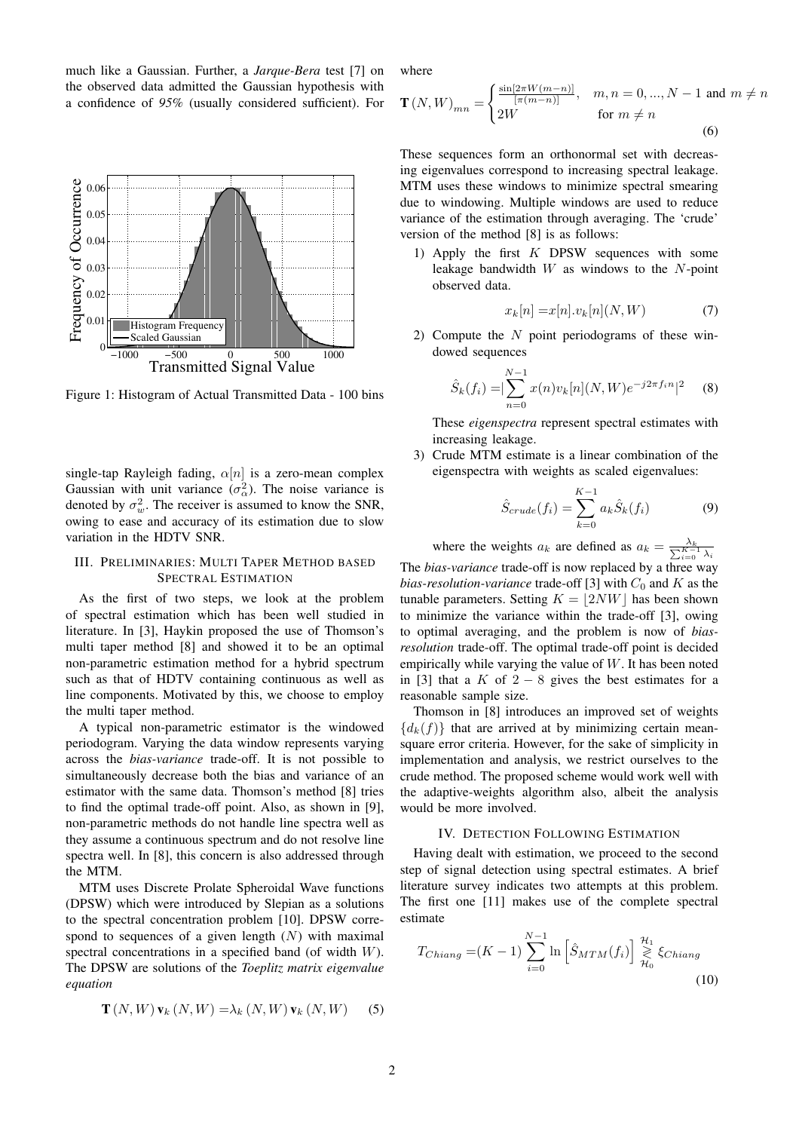much like a Gaussian. Further, a *Jarque-Bera* test [7] on the observed data admitted the Gaussian hypothesis with a confidence of *95%* (usually considered sufficient). For



Figure 1: Histogram of Actual Transmitted Data - 100 bins

single-tap Rayleigh fading,  $\alpha[n]$  is a zero-mean complex Gaussian with unit variance  $(\sigma_{\alpha}^2)$ . The noise variance is denoted by  $\sigma_w^2$ . The receiver is assumed to know the SNR, owing to ease and accuracy of its estimation due to slow variation in the HDTV SNR.

# III. PRELIMINARIES: MULTI TAPER METHOD BASED SPECTRAL ESTIMATION

As the first of two steps, we look at the problem of spectral estimation which has been well studied in literature. In [3], Haykin proposed the use of Thomson's multi taper method [8] and showed it to be an optimal non-parametric estimation method for a hybrid spectrum such as that of HDTV containing continuous as well as line components. Motivated by this, we choose to employ the multi taper method.

A typical non-parametric estimator is the windowed periodogram. Varying the data window represents varying across the *bias-variance* trade-off. It is not possible to simultaneously decrease both the bias and variance of an estimator with the same data. Thomson's method [8] tries to find the optimal trade-off point. Also, as shown in [9], non-parametric methods do not handle line spectra well as they assume a continuous spectrum and do not resolve line spectra well. In [8], this concern is also addressed through the MTM.

MTM uses Discrete Prolate Spheroidal Wave functions (DPSW) which were introduced by Slepian as a solutions to the spectral concentration problem [10]. DPSW correspond to sequences of a given length  $(N)$  with maximal spectral concentrations in a specified band (of width W). The DPSW are solutions of the *Toeplitz matrix eigenvalue equation*

$$
\mathbf{T}(N,W)\mathbf{v}_k(N,W) = \lambda_k(N,W)\mathbf{v}_k(N,W) \tag{5}
$$

where

$$
\mathbf{T}(N,W)_{mn} = \begin{cases} \frac{\sin[2\pi W(m-n)]}{[\pi(m-n)]}, & m, n = 0, ..., N-1 \text{ and } m \neq n\\ 2W & \text{for } m \neq n \end{cases}
$$
(6)

These sequences form an orthonormal set with decreasing eigenvalues correspond to increasing spectral leakage. MTM uses these windows to minimize spectral smearing due to windowing. Multiple windows are used to reduce variance of the estimation through averaging. The 'crude' version of the method [8] is as follows:

1) Apply the first  $K$  DPSW sequences with some leakage bandwidth  $W$  as windows to the  $N$ -point observed data.

$$
x_k[n] = x[n].v_k[n](N,W) \tag{7}
$$

2) Compute the  $N$  point periodograms of these windowed sequences

$$
\hat{S}_k(f_i) = |\sum_{n=0}^{N-1} x(n)v_k[n](N,W)e^{-j2\pi f_i n}|^2 \quad (8)
$$

These *eigenspectra* represent spectral estimates with increasing leakage.

3) Crude MTM estimate is a linear combination of the eigenspectra with weights as scaled eigenvalues:

$$
\hat{S}_{crude}(f_i) = \sum_{k=0}^{K-1} a_k \hat{S}_k(f_i)
$$
\n(9)

where the weights  $a_k$  are defined as  $a_k = \frac{\lambda_k}{\sum_{i=0}^{K-1} \lambda_i}$ The *bias-variance* trade-off is now replaced by a three way *bias-resolution-variance* trade-off [3] with  $C_0$  and K as the tunable parameters. Setting  $K = |2NW|$  has been shown to minimize the variance within the trade-off [3], owing to optimal averaging, and the problem is now of *biasresolution* trade-off. The optimal trade-off point is decided empirically while varying the value of  $W$ . It has been noted in [3] that a K of  $2 - 8$  gives the best estimates for a reasonable sample size.

Thomson in [8] introduces an improved set of weights  ${d_k(f)}$  that are arrived at by minimizing certain meansquare error criteria. However, for the sake of simplicity in implementation and analysis, we restrict ourselves to the crude method. The proposed scheme would work well with the adaptive-weights algorithm also, albeit the analysis would be more involved.

# IV. DETECTION FOLLOWING ESTIMATION

Having dealt with estimation, we proceed to the second step of signal detection using spectral estimates. A brief literature survey indicates two attempts at this problem. The first one [11] makes use of the complete spectral estimate

$$
T_{Chiang} = (K - 1) \sum_{i=0}^{N-1} \ln \left[ \hat{S}_{MTM}(f_i) \right] \underset{\mathcal{H}_0}{\geq} \xi_{Chiang}
$$
\n(10)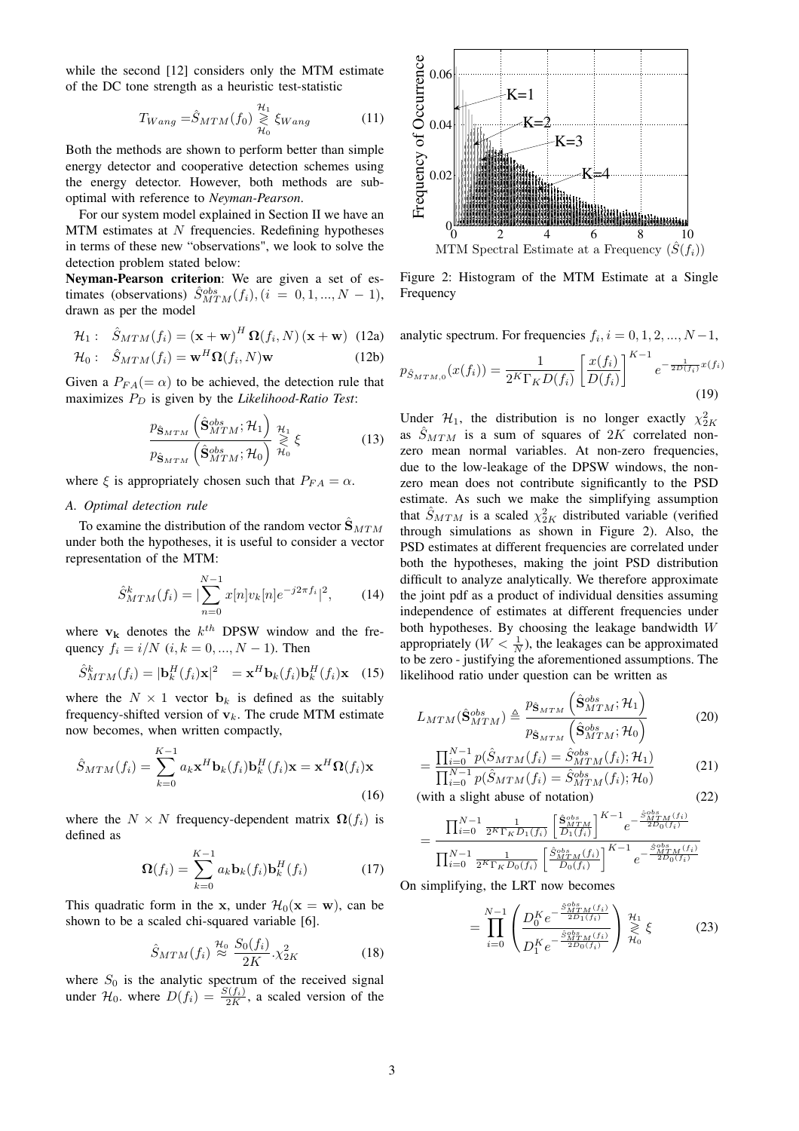while the second [12] considers only the MTM estimate of the DC tone strength as a heuristic test-statistic

$$
T_{Wang} = \hat{S}_{MTM}(f_0) \underset{\mathcal{H}_0}{\geq} \xi_{Wang} \tag{11}
$$

Both the methods are shown to perform better than simple energy detector and cooperative detection schemes using the energy detector. However, both methods are suboptimal with reference to *Neyman-Pearson*.

For our system model explained in Section II we have an  $MTM$  estimates at  $N$  frequencies. Redefining hypotheses in terms of these new "observations", we look to solve the detection problem stated below:

**Neyman-Pearson criterion**: We are given a set of estimates (observations)  $\hat{S}_{MTM}^{obs}(f_i)$ ,  $(i = 0, 1, ..., N - 1)$ , drawn as per the model

$$
\mathcal{H}_1: \quad \hat{S}_{MTM}(f_i) = (\mathbf{x} + \mathbf{w})^H \mathbf{\Omega}(f_i, N) (\mathbf{x} + \mathbf{w}) \tag{12a}
$$

$$
\mathcal{H}_0: \quad \hat{S}_{MTM}(f_i) = \mathbf{w}^H \mathbf{\Omega}(f_i, N) \mathbf{w} \tag{12b}
$$

Given a  $P_{FA} (= \alpha)$  to be achieved, the detection rule that maximizes  $P_D$  is given by the *Likelihood-Ratio Test*:

$$
\frac{p_{\hat{\mathbf{S}}_{MTM}}\left(\hat{\mathbf{S}}_{MTM}^{obs}; \mathcal{H}_1\right)}{p_{\hat{\mathbf{S}}_{MTM}}\left(\hat{\mathbf{S}}_{MTM}^{obs}; \mathcal{H}_0\right)} \underset{\mathcal{H}_0}{\overset{\mathcal{H}_1}{\gtrless}} \xi \tag{13}
$$

where  $\xi$  is appropriately chosen such that  $P_{FA} = \alpha$ .

### *A. Optimal detection rule*

To examine the distribution of the random vector  $\hat{\mathbf{S}}_{MTM}$ under both the hypotheses, it is useful to consider a vector representation of the MTM:

$$
\hat{S}_{MTM}^{k}(f_i) = |\sum_{n=0}^{N-1} x[n] v_k[n] e^{-j2\pi f_i}|^2, \qquad (14)
$$

where  $v_k$  denotes the  $k^{th}$  DPSW window and the frequency  $f_i = i/N$  ( $i, k = 0, ..., N - 1$ ). Then

$$
\hat{S}_{MTM}^{k}(f_i) = |\mathbf{b}_k^H(f_i)\mathbf{x}|^2 = \mathbf{x}^H \mathbf{b}_k(f_i) \mathbf{b}_k^H(f_i) \mathbf{x} \quad (15)
$$

where the  $N \times 1$  vector  $\mathbf{b}_k$  is defined as the suitably frequency-shifted version of  $v_k$ . The crude MTM estimate now becomes, when written compactly,

$$
\hat{S}_{MTM}(f_i) = \sum_{k=0}^{K-1} a_k \mathbf{x}^H \mathbf{b}_k(f_i) \mathbf{b}_k^H(f_i) \mathbf{x} = \mathbf{x}^H \Omega(f_i) \mathbf{x}
$$
\n(16)

where the  $N \times N$  frequency-dependent matrix  $\Omega(f_i)$  is defined as

$$
\mathbf{\Omega}(f_i) = \sum_{k=0}^{K-1} a_k \mathbf{b}_k(f_i) \mathbf{b}_k^H(f_i)
$$
(17)

This quadratic form in the x, under  $\mathcal{H}_0(\mathbf{x} = \mathbf{w})$ , can be shown to be a scaled chi-squared variable [6].

$$
\hat{S}_{MTM}(f_i) \stackrel{\mathcal{H}_0}{\approx} \frac{S_0(f_i)}{2K} \cdot \chi^2_{2K}
$$
 (18)

where  $S_0$  is the analytic spectrum of the received signal under  $\mathcal{H}_0$ , where  $D(f_i) = \frac{S(f_i)}{2K}$ , a scaled version of the



Figure 2: Histogram of the MTM Estimate at a Single **Frequency** 

analytic spectrum. For frequencies  $f_i$ ,  $i = 0, 1, 2, ..., N - 1$ ,

$$
p_{\hat{S}_{MTM,0}}(x(f_i)) = \frac{1}{2^K \Gamma_K D(f_i)} \left[ \frac{x(f_i)}{D(f_i)} \right]^{K-1} e^{-\frac{1}{2D(f_i)} x(f_i)}
$$
(19)

Under  $\mathcal{H}_1$ , the distribution is no longer exactly  $\chi^2_{2K}$ as  $\hat{S}_{MTM}$  is a sum of squares of 2K correlated nonzero mean normal variables. At non-zero frequencies, due to the low-leakage of the DPSW windows, the nonzero mean does not contribute significantly to the PSD estimate. As such we make the simplifying assumption that  $\hat{S}_{MTM}$  is a scaled  $\chi^2_{2K}$  distributed variable (verified through simulations as shown in Figure 2). Also, the PSD estimates at different frequencies are correlated under both the hypotheses, making the joint PSD distribution difficult to analyze analytically. We therefore approximate the joint pdf as a product of individual densities assuming independence of estimates at different frequencies under both hypotheses. By choosing the leakage bandwidth W appropriately ( $W < \frac{1}{N}$ ), the leakages can be approximated to be zero - justifying the aforementioned assumptions. The likelihood ratio under question can be written as

$$
L_{MTM}(\hat{\mathbf{S}}_{MTM}^{obs}) \triangleq \frac{p_{\hat{\mathbf{S}}_{MTM}}\left(\hat{\mathbf{S}}_{MTM}^{obs}; \mathcal{H}_{1}\right)}{p_{\hat{\mathbf{S}}_{MTM}}\left(\hat{\mathbf{S}}_{MTM}^{obs}; \mathcal{H}_{0}\right)}
$$
(20)

$$
= \frac{\prod_{i=0}^{N-1} p(\hat{S}_{MTM}(f_i) = \hat{S}_{MTM}^{obs}(f_i); \mathcal{H}_1)}{\prod_{i=0}^{N-1} p(\hat{S}_{MTM}(f_i) = \hat{S}_{MTM}^{obs}(f_i); \mathcal{H}_0)}
$$
(21)

(with a slight abuse of notation) (22)

$$
= \frac{\prod_{i=0}^{N-1} \frac{1}{2^K \Gamma_K D_1(f_i)} \left[ \frac{\hat{\mathbf{S}}_{MTM}^{obs}}{D_1(f_i)} \right]^{K-1} e^{-\frac{\hat{S}_{MTM}^{obs}(f_i)}{2D_0(f_i)}}{\prod_{i=0}^{N-1} \frac{1}{2^K \Gamma_K D_0(f_i)} \left[ \frac{\hat{S}_{MTM}^{obs}(f_i)}{D_0(f_i)} \right]^{K-1} e^{-\frac{\hat{S}_{MTM}^{obs}(f_i)}{2D_0(f_i)}}}
$$

On simplifying, the LRT now becomes

$$
= \prod_{i=0}^{N-1} \left( \frac{D_0^K e^{-\frac{\hat{S}_{MTM}^{obs}(f_i)}{2D_1(f_i)}}}{D_1^K e^{-\frac{\hat{S}_{MTM}^{obs}(f_i)}{2D_0(f_i)}}} \right)_{\mathcal{H}_0}^{\mathcal{H}_1} \xi \tag{23}
$$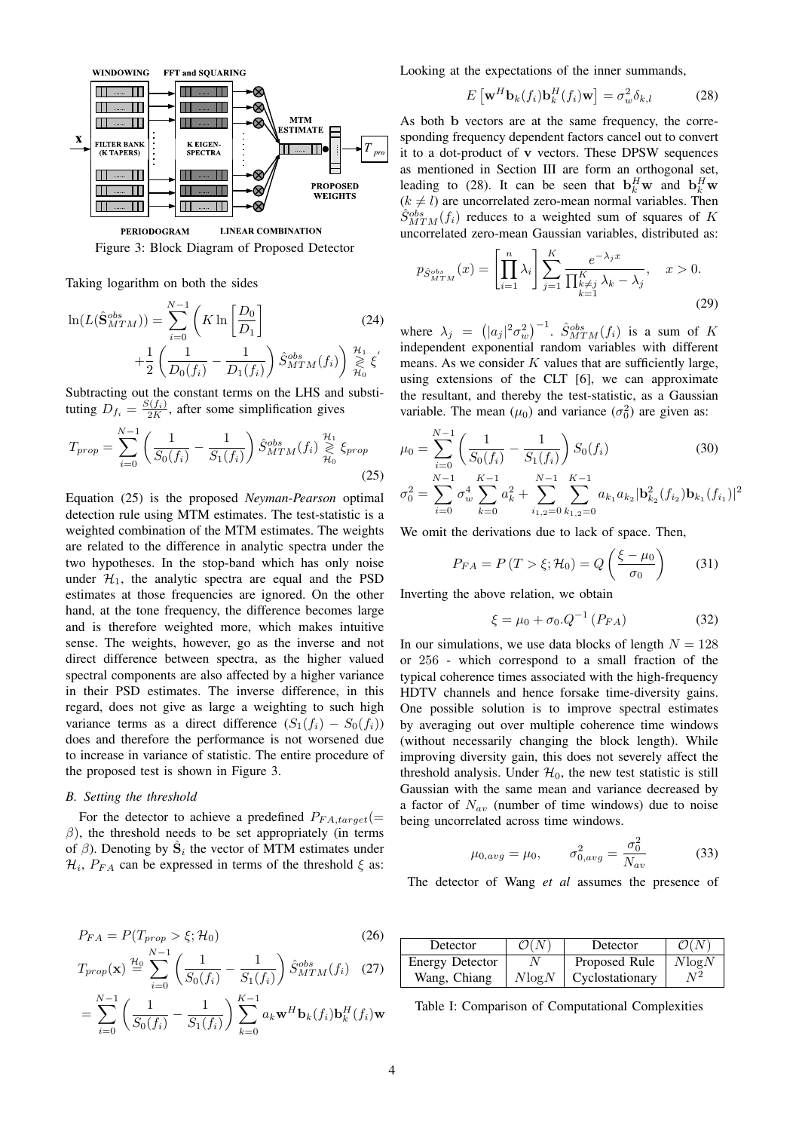

**LINEAR COMBINATION PERIODOGRAM** Figure 3: Block Diagram of Proposed Detector

Taking logarithm on both the sides

$$
\ln(L(\hat{\mathbf{S}}_{MTM}^{obs})) = \sum_{i=0}^{N-1} \left( K \ln \left[ \frac{D_0}{D_1} \right] \right)
$$
(24)  
 
$$
+ \frac{1}{2} \left( \frac{1}{D_0(f_i)} - \frac{1}{D_1(f_i)} \right) \hat{S}_{MTM}^{obs}(f_i) \Big) \underset{\mathcal{H}_0}{\overset{\mathcal{H}_1}{\geq}} \xi'
$$

Subtracting out the constant terms on the LHS and substituting  $D_{f_i} = \frac{S(f_i)}{2K}$ , after some simplification gives

$$
T_{prop} = \sum_{i=0}^{N-1} \left( \frac{1}{S_0(f_i)} - \frac{1}{S_1(f_i)} \right) \hat{S}_{MTM}^{obs}(f_i) \underset{\mathcal{H}_0}{\geq} \xi_{prop}
$$
\n(25)

Equation (25) is the proposed *Neyman-Pearson* optimal detection rule using MTM estimates. The test-statistic is a weighted combination of the MTM estimates. The weights are related to the difference in analytic spectra under the two hypotheses. In the stop-band which has only noise under  $H_1$ , the analytic spectra are equal and the PSD estimates at those frequencies are ignored. On the other hand, at the tone frequency, the difference becomes large and is therefore weighted more, which makes intuitive sense. The weights, however, go as the inverse and not direct difference between spectra, as the higher valued spectral components are also affected by a higher variance in their PSD estimates. The inverse difference, in this regard, does not give as large a weighting to such high variance terms as a direct difference  $(S_1(f_i) - S_0(f_i))$ does and therefore the performance is not worsened due to increase in variance of statistic. The entire procedure of the proposed test is shown in Figure 3.

#### *B. Setting the threshold*

For the detector to achieve a predefined  $P_{FA\,target}(=$  $\beta$ ), the threshold needs to be set appropriately (in terms of  $\beta$ ). Denoting by  $\hat{\mathbf{S}}_i$  the vector of MTM estimates under  $\mathcal{H}_i$ ,  $P_{FA}$  can be expressed in terms of the threshold  $\xi$  as:

$$
P_{FA} = P(T_{prop} > \xi; \mathcal{H}_0)
$$
\n<sup>(26)</sup>

$$
T_{prop}(\mathbf{x}) \stackrel{\mathcal{H}_0}{=} \sum_{i=0}^{N-1} \left( \frac{1}{S_0(f_i)} - \frac{1}{S_1(f_i)} \right) \hat{S}_{MTM}^{obs}(f_i) \quad (27)
$$

$$
= \sum_{i=0}^{N-1} \left( \frac{1}{S_0(f_i)} - \frac{1}{S_1(f_i)} \right) \sum_{k=0}^{K-1} a_k \mathbf{w}^H \mathbf{b}_k(f_i) \mathbf{b}_k^H(f_i) \mathbf{w}
$$

Looking at the expectations of the inner summands,

$$
E\left[\mathbf{w}^{H}\mathbf{b}_{k}(f_{i})\mathbf{b}_{k}^{H}(f_{i})\mathbf{w}\right]=\sigma_{w}^{2}\delta_{k,l}\tag{28}
$$

As both b vectors are at the same frequency, the corresponding frequency dependent factors cancel out to convert it to a dot-product of v vectors. These DPSW sequences as mentioned in Section III are form an orthogonal set, leading to (28). It can be seen that  $\mathbf{b}_k^H \mathbf{w}$  and  $\mathbf{b}_k^H \mathbf{w}$  $(k \neq l)$  are uncorrelated zero-mean normal variables. Then  $\hat{S}_{MTM}^{obs}(f_i)$  reduces to a weighted sum of squares of K uncorrelated zero-mean Gaussian variables, distributed as:

$$
p_{\hat{S}_{MTM}^{obs}}(x) = \left[\prod_{i=1}^{n} \lambda_i\right] \sum_{j=1}^{K} \frac{e^{-\lambda_j x}}{\prod_{k=1}^{K} \lambda_k - \lambda_j}, \quad x > 0.
$$
\n(29)

where  $\lambda_j = (|a_j|^2 \sigma_w^2)^{-1}$ .  $\hat{S}_{MTM}^{obs}(f_i)$  is a sum of K independent exponential random variables with different means. As we consider  $K$  values that are sufficiently large, using extensions of the CLT [6], we can approximate the resultant, and thereby the test-statistic, as a Gaussian variable. The mean  $(\mu_0)$  and variance  $(\sigma_0^2)$  are given as:

$$
\mu_0 = \sum_{i=0}^{N-1} \left( \frac{1}{S_0(f_i)} - \frac{1}{S_1(f_i)} \right) S_0(f_i)
$$
(30)  

$$
\sigma_0^2 = \sum_{i=0}^{N-1} \sigma_w^4 \sum_{k=0}^{K-1} a_k^2 + \sum_{i_{1,2}=0}^{N-1} \sum_{k_{1,2}=0}^{K-1} a_{k_1} a_{k_2} |\mathbf{b}_{k_2}^2(f_{i_2}) \mathbf{b}_{k_1}(f_{i_1})|^2
$$

We omit the derivations due to lack of space. Then,

$$
P_{FA} = P(T > \xi; \mathcal{H}_0) = Q\left(\frac{\xi - \mu_0}{\sigma_0}\right) \tag{31}
$$

Inverting the above relation, we obtain

$$
\xi = \mu_0 + \sigma_0 . Q^{-1} (P_{FA})
$$
 (32)

In our simulations, we use data blocks of length  $N = 128$ or 256 - which correspond to a small fraction of the typical coherence times associated with the high-frequency HDTV channels and hence forsake time-diversity gains. One possible solution is to improve spectral estimates by averaging out over multiple coherence time windows (without necessarily changing the block length). While improving diversity gain, this does not severely affect the threshold analysis. Under  $\mathcal{H}_0$ , the new test statistic is still Gaussian with the same mean and variance decreased by a factor of  $N_{av}$  (number of time windows) due to noise being uncorrelated across time windows.

$$
\mu_{0,avg} = \mu_0, \qquad \sigma_{0,avg}^2 = \frac{\sigma_0^2}{N_{av}}
$$
\n(33)

The detector of Wang *et al* assumes the presence of

| Detector               | O(N        | Detector        | $\mathcal{O}(N)$ |
|------------------------|------------|-----------------|------------------|
| <b>Energy Detector</b> |            | Proposed Rule   | $N \log N$       |
| Wang, Chiang           | $N \log N$ | Cyclostationary |                  |

Table I: Comparison of Computational Complexities